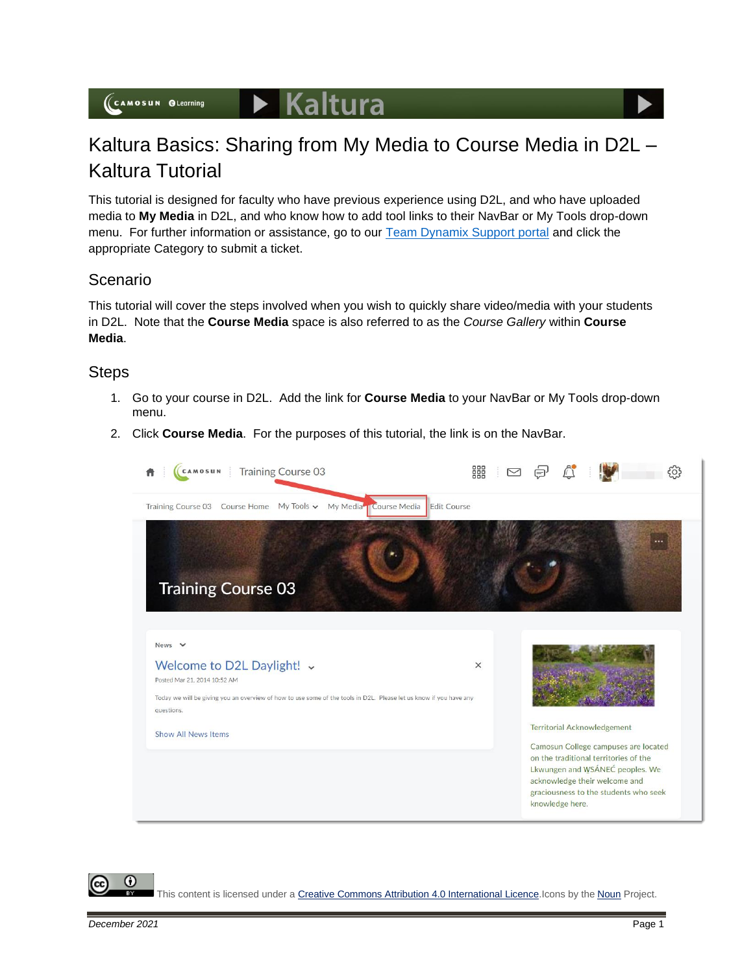## Kaltura Basics: Sharing from My Media to Course Media in D2L – Kaltura Tutorial

This tutorial is designed for faculty who have previous experience using D2L, and who have uploaded media to **My Media** in D2L, and who know how to add tool links to their NavBar or My Tools drop-down menu. For further information or assistance, go to our [Team Dynamix Support portal](https://camosun.teamdynamix.com/TDClient/67/Portal/Requests/ServiceCatalog?CategoryID=523) and click the appropriate Category to submit a ticket.

## Scenario

This tutorial will cover the steps involved when you wish to quickly share video/media with your students in D2L. Note that the **Course Media** space is also referred to as the *Course Gallery* within **Course Media**.

## **Steps**

- 1. Go to your course in D2L. Add the link for **Course Media** to your NavBar or My Tools drop-down menu.
- 2. Click **Course Media**. For the purposes of this tutorial, the link is on the NavBar.



This content is licensed under [a Creative Commons Attribution 4.0 International Licence.I](https://creativecommons.org/licenses/by/4.0/)cons by the [Noun](https://creativecommons.org/website-icons/) Project.